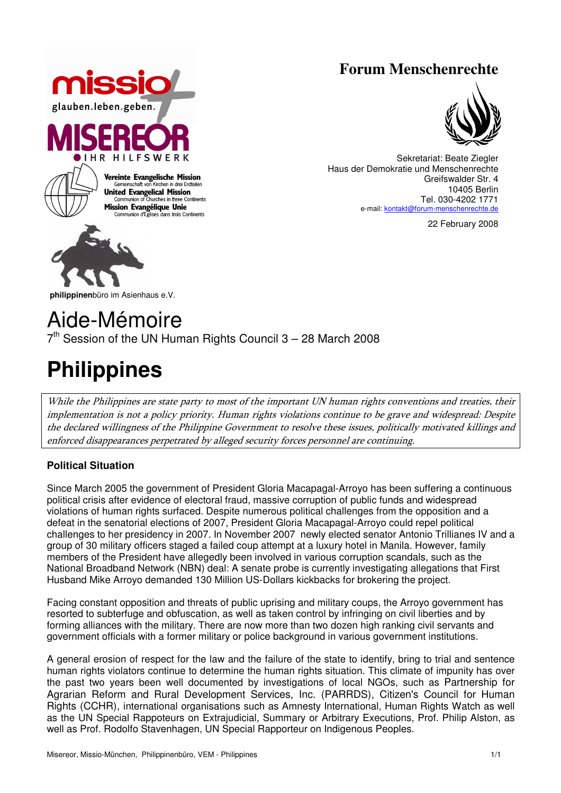### **Forum Menschenrechte**





Sekretariat: Beate Ziegler Haus der Demokratie und Menschenrechte Greifswalder Str. 4 10405 Berlin Tel. 030-4202 1771 e-mail: kontakt@forum-menschenrechte.de

22 February 2008

**philippinen**büro im Asienhaus e.V.

## Aide-Mémoire  $7<sup>th</sup>$  Session of the UN Human Rights Council 3 – 28 March 2008

# **Philippines**

While the Philippines are state party to most of the important UN human rights conventions and treaties, their implementation is not a policy priority. Human rights violations continue to be grave and widespread: Despite the declared willingness of the Philippine Government to resolve these issues, politically motivated killings and enforced disappearances perpetrated by alleged security forces personnel are continuing.

#### **Political Situation**

Since March 2005 the government of President Gloria Macapagal-Arroyo has been suffering a continuous political crisis after evidence of electoral fraud, massive corruption of public funds and widespread violations of human rights surfaced. Despite numerous political challenges from the opposition and a defeat in the senatorial elections of 2007, President Gloria Macapagal-Arroyo could repel political challenges to her presidency in 2007. In November 2007 newly elected senator Antonio Trillianes IV and a group of 30 military officers staged a failed coup attempt at a luxury hotel in Manila. However, family members of the President have allegedly been involved in various corruption scandals, such as the National Broadband Network (NBN) deal: A senate probe is currently investigating allegations that First Husband Mike Arroyo demanded 130 Million US-Dollars kickbacks for brokering the project.

Facing constant opposition and threats of public uprising and military coups, the Arroyo government has resorted to subterfuge and obfuscation, as well as taken control by infringing on civil liberties and by forming alliances with the military. There are now more than two dozen high ranking civil servants and government officials with a former military or police background in various government institutions.

A general erosion of respect for the law and the failure of the state to identify, bring to trial and sentence human rights violators continue to determine the human rights situation. This climate of impunity has over the past two years been well documented by investigations of local NGOs, such as Partnership for Agrarian Reform and Rural Development Services, Inc. (PARRDS), Citizen's Council for Human Rights (CCHR), international organisations such as Amnesty International, Human Rights Watch as well as the UN Special Rappoteurs on Extrajudicial, Summary or Arbitrary Executions, Prof. Philip Alston, as well as Prof. Rodolfo Stavenhagen, UN Special Rapporteur on Indigenous Peoples.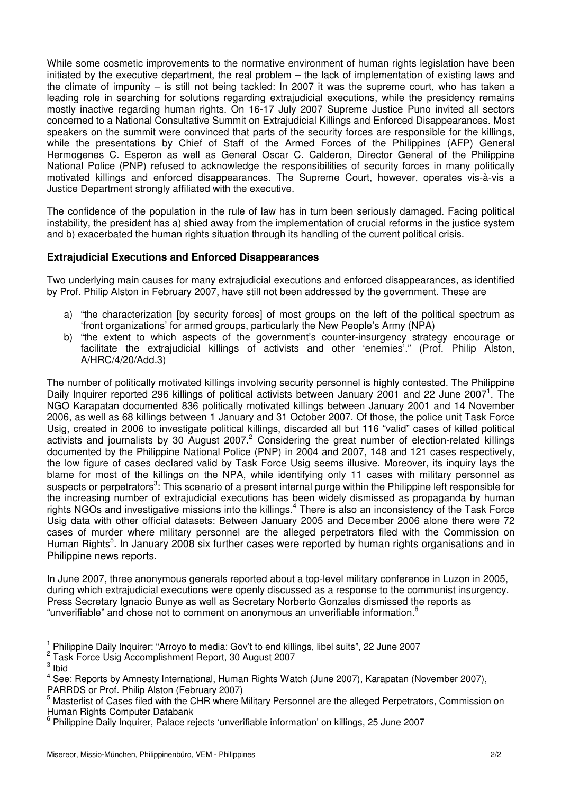While some cosmetic improvements to the normative environment of human rights legislation have been initiated by the executive department, the real problem – the lack of implementation of existing laws and the climate of impunity – is still not being tackled: In 2007 it was the supreme court, who has taken a leading role in searching for solutions regarding extrajudicial executions, while the presidency remains mostly inactive regarding human rights. On 16-17 July 2007 Supreme Justice Puno invited all sectors concerned to a National Consultative Summit on Extrajudicial Killings and Enforced Disappearances. Most speakers on the summit were convinced that parts of the security forces are responsible for the killings, while the presentations by Chief of Staff of the Armed Forces of the Philippines (AFP) General Hermogenes C. Esperon as well as General Oscar C. Calderon, Director General of the Philippine National Police (PNP) refused to acknowledge the responsibilities of security forces in many politically motivated killings and enforced disappearances. The Supreme Court, however, operates vis-à-vis a Justice Department strongly affiliated with the executive.

The confidence of the population in the rule of law has in turn been seriously damaged. Facing political instability, the president has a) shied away from the implementation of crucial reforms in the justice system and b) exacerbated the human rights situation through its handling of the current political crisis.

#### **Extrajudicial Executions and Enforced Disappearances**

Two underlying main causes for many extrajudicial executions and enforced disappearances, as identified by Prof. Philip Alston in February 2007, have still not been addressed by the government. These are

- a) "the characterization [by security forces] of most groups on the left of the political spectrum as 'front organizations' for armed groups, particularly the New People's Army (NPA)
- b) "the extent to which aspects of the government's counter-insurgency strategy encourage or facilitate the extrajudicial killings of activists and other 'enemies'." (Prof. Philip Alston, A/HRC/4/20/Add.3)

The number of politically motivated killings involving security personnel is highly contested. The Philippine Daily Inquirer reported 296 killings of political activists between January 2001 and 22 June 2007<sup>1</sup>. The NGO Karapatan documented 836 politically motivated killings between January 2001 and 14 November 2006, as well as 68 killings between 1 January and 31 October 2007. Of those, the police unit Task Force Usig, created in 2006 to investigate political killings, discarded all but 116 "valid" cases of killed political activists and journalists by 30 August 2007.<sup>2</sup> Considering the great number of election-related killings documented by the Philippine National Police (PNP) in 2004 and 2007, 148 and 121 cases respectively, the low figure of cases declared valid by Task Force Usig seems illusive. Moreover, its inquiry lays the blame for most of the killings on the NPA, while identifying only 11 cases with military personnel as suspects or perpetrators<sup>3</sup>: This scenario of a present internal purge within the Philippine left responsible for the increasing number of extrajudicial executions has been widely dismissed as propaganda by human rights NGOs and investigative missions into the killings.<sup>4</sup> There is also an inconsistency of the Task Force Usig data with other official datasets: Between January 2005 and December 2006 alone there were 72 cases of murder where military personnel are the alleged perpetrators filed with the Commission on Human Rights<sup>5</sup>. In January 2008 six further cases were reported by human rights organisations and in Philippine news reports.

In June 2007, three anonymous generals reported about a top-level military conference in Luzon in 2005, during which extrajudicial executions were openly discussed as a response to the communist insurgency. Press Secretary Ignacio Bunye as well as Secretary Norberto Gonzales dismissed the reports as "unverifiable" and chose not to comment on anonymous an unverifiable information. $6$ 

 $\overline{\phantom{a}}$ 

<sup>1</sup> Philippine Daily Inquirer: "Arroyo to media: Gov't to end killings, libel suits", 22 June 2007

<sup>2</sup> Task Force Usig Accomplishment Report, 30 August 2007

<sup>3</sup> Ibid

<sup>4</sup> See: Reports by Amnesty International, Human Rights Watch (June 2007), Karapatan (November 2007), PARRDS or Prof. Philip Alston (February 2007)

<sup>5</sup> Masterlist of Cases filed with the CHR where Military Personnel are the alleged Perpetrators, Commission on Human Rights Computer Databank

<sup>6</sup> Philippine Daily Inquirer, Palace rejects 'unverifiable information' on killings, 25 June 2007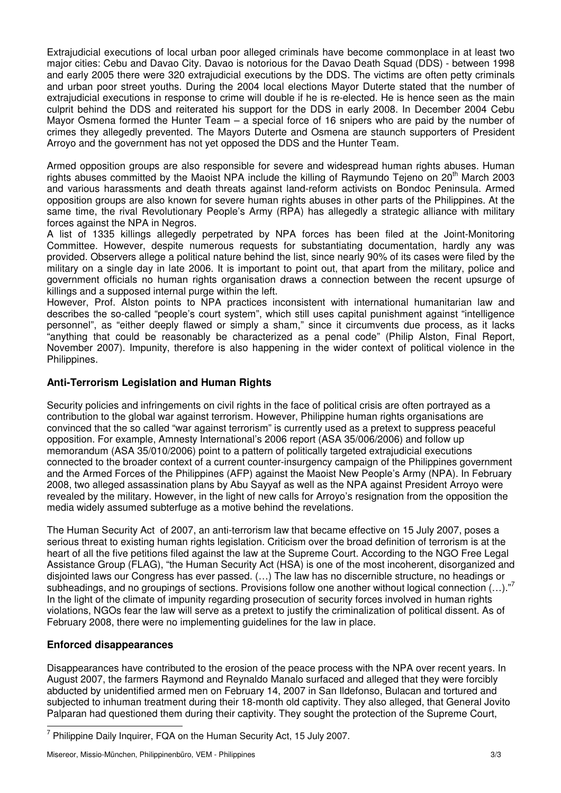Extrajudicial executions of local urban poor alleged criminals have become commonplace in at least two major cities: Cebu and Davao City. Davao is notorious for the Davao Death Squad (DDS) - between 1998 and early 2005 there were 320 extrajudicial executions by the DDS. The victims are often petty criminals and urban poor street youths. During the 2004 local elections Mayor Duterte stated that the number of extrajudicial executions in response to crime will double if he is re-elected. He is hence seen as the main culprit behind the DDS and reiterated his support for the DDS in early 2008. In December 2004 Cebu Mayor Osmena formed the Hunter Team – a special force of 16 snipers who are paid by the number of crimes they allegedly prevented. The Mayors Duterte and Osmena are staunch supporters of President Arroyo and the government has not yet opposed the DDS and the Hunter Team.

Armed opposition groups are also responsible for severe and widespread human rights abuses. Human rights abuses committed by the Maoist NPA include the killing of Raymundo Tejeno on 20<sup>th</sup> March 2003 and various harassments and death threats against land-reform activists on Bondoc Peninsula. Armed opposition groups are also known for severe human rights abuses in other parts of the Philippines. At the same time, the rival Revolutionary People's Army (RPA) has allegedly a strategic alliance with military forces against the NPA in Negros.

A list of 1335 killings allegedly perpetrated by NPA forces has been filed at the Joint-Monitoring Committee. However, despite numerous requests for substantiating documentation, hardly any was provided. Observers allege a political nature behind the list, since nearly 90% of its cases were filed by the military on a single day in late 2006. It is important to point out, that apart from the military, police and government officials no human rights organisation draws a connection between the recent upsurge of killings and a supposed internal purge within the left.

However, Prof. Alston points to NPA practices inconsistent with international humanitarian law and describes the so-called "people's court system", which still uses capital punishment against "intelligence personnel", as "either deeply flawed or simply a sham," since it circumvents due process, as it lacks "anything that could be reasonably be characterized as a penal code" (Philip Alston, Final Report, November 2007). Impunity, therefore is also happening in the wider context of political violence in the Philippines.

#### **Anti-Terrorism Legislation and Human Rights**

Security policies and infringements on civil rights in the face of political crisis are often portrayed as a contribution to the global war against terrorism. However, Philippine human rights organisations are convinced that the so called "war against terrorism" is currently used as a pretext to suppress peaceful opposition. For example, Amnesty International's 2006 report (ASA 35/006/2006) and follow up memorandum (ASA 35/010/2006) point to a pattern of politically targeted extrajudicial executions connected to the broader context of a current counter-insurgency campaign of the Philippines government and the Armed Forces of the Philippines (AFP) against the Maoist New People's Army (NPA). In February 2008, two alleged assassination plans by Abu Sayyaf as well as the NPA against President Arroyo were revealed by the military. However, in the light of new calls for Arroyo's resignation from the opposition the media widely assumed subterfuge as a motive behind the revelations.

The Human Security Act of 2007, an anti-terrorism law that became effective on 15 July 2007, poses a serious threat to existing human rights legislation. Criticism over the broad definition of terrorism is at the heart of all the five petitions filed against the law at the Supreme Court. According to the NGO Free Legal Assistance Group (FLAG), "the Human Security Act (HSA) is one of the most incoherent, disorganized and disjointed laws our Congress has ever passed. (…) The law has no discernible structure, no headings or subheadings, and no groupings of sections. Provisions follow one another without logical connection (...)."<sup>7</sup> In the light of the climate of impunity regarding prosecution of security forces involved in human rights violations, NGOs fear the law will serve as a pretext to justify the criminalization of political dissent. As of February 2008, there were no implementing guidelines for the law in place.

#### **Enforced disappearances**

Disappearances have contributed to the erosion of the peace process with the NPA over recent years. In August 2007, the farmers Raymond and Reynaldo Manalo surfaced and alleged that they were forcibly abducted by unidentified armed men on February 14, 2007 in San Ildefonso, Bulacan and tortured and subjected to inhuman treatment during their 18-month old captivity. They also alleged, that General Jovito Palparan had questioned them during their captivity. They sought the protection of the Supreme Court,

 $\overline{a}$ <sup>7</sup> Philippine Daily Inquirer, FQA on the Human Security Act, 15 July 2007.

Misereor, Missio-München, Philippinenbüro, VEM - Philippines 3/3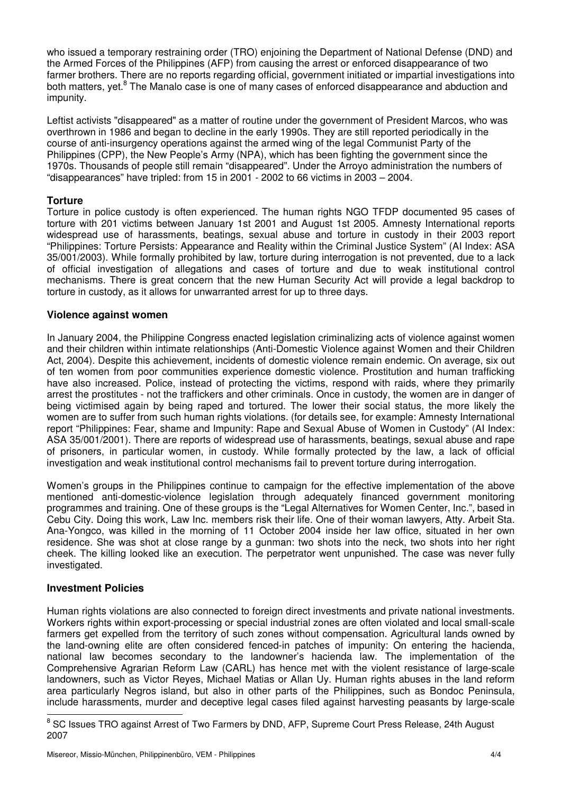who issued a temporary restraining order (TRO) enjoining the Department of National Defense (DND) and the Armed Forces of the Philippines (AFP) from causing the arrest or enforced disappearance of two farmer brothers. There are no reports regarding official, government initiated or impartial investigations into both matters, yet.<sup>8</sup> The Manalo case is one of many cases of enforced disappearance and abduction and impunity.

Leftist activists "disappeared" as a matter of routine under the government of President Marcos, who was overthrown in 1986 and began to decline in the early 1990s. They are still reported periodically in the course of anti-insurgency operations against the armed wing of the legal Communist Party of the Philippines (CPP), the New People's Army (NPA), which has been fighting the government since the 1970s. Thousands of people still remain "disappeared". Under the Arroyo administration the numbers of "disappearances" have tripled: from 15 in 2001 - 2002 to 66 victims in 2003 – 2004.

#### **Torture**

Torture in police custody is often experienced. The human rights NGO TFDP documented 95 cases of torture with 201 victims between January 1st 2001 and August 1st 2005. Amnesty International reports widespread use of harassments, beatings, sexual abuse and torture in custody in their 2003 report "Philippines: Torture Persists: Appearance and Reality within the Criminal Justice System" (AI Index: ASA 35/001/2003). While formally prohibited by law, torture during interrogation is not prevented, due to a lack of official investigation of allegations and cases of torture and due to weak institutional control mechanisms. There is great concern that the new Human Security Act will provide a legal backdrop to torture in custody, as it allows for unwarranted arrest for up to three days.

#### **Violence against women**

In January 2004, the Philippine Congress enacted legislation criminalizing acts of violence against women and their children within intimate relationships (Anti-Domestic Violence against Women and their Children Act, 2004). Despite this achievement, incidents of domestic violence remain endemic. On average, six out of ten women from poor communities experience domestic violence. Prostitution and human trafficking have also increased. Police, instead of protecting the victims, respond with raids, where they primarily arrest the prostitutes - not the traffickers and other criminals. Once in custody, the women are in danger of being victimised again by being raped and tortured. The lower their social status, the more likely the women are to suffer from such human rights violations. (for details see, for example: Amnesty International report "Philippines: Fear, shame and Impunity: Rape and Sexual Abuse of Women in Custody" (AI Index: ASA 35/001/2001). There are reports of widespread use of harassments, beatings, sexual abuse and rape of prisoners, in particular women, in custody. While formally protected by the law, a lack of official investigation and weak institutional control mechanisms fail to prevent torture during interrogation.

Women's groups in the Philippines continue to campaign for the effective implementation of the above mentioned anti-domestic-violence legislation through adequately financed government monitoring programmes and training. One of these groups is the "Legal Alternatives for Women Center, Inc.", based in Cebu City. Doing this work, Law Inc. members risk their life. One of their woman lawyers, Atty. Arbeit Sta. Ana-Yongco, was killed in the morning of 11 October 2004 inside her law office, situated in her own residence. She was shot at close range by a gunman: two shots into the neck, two shots into her right cheek. The killing looked like an execution. The perpetrator went unpunished. The case was never fully investigated.

#### **Investment Policies**

Human rights violations are also connected to foreign direct investments and private national investments. Workers rights within export-processing or special industrial zones are often violated and local small-scale farmers get expelled from the territory of such zones without compensation. Agricultural lands owned by the land-owning elite are often considered fenced-in patches of impunity: On entering the hacienda, national law becomes secondary to the landowner's hacienda law. The implementation of the Comprehensive Agrarian Reform Law (CARL) has hence met with the violent resistance of large-scale landowners, such as Victor Reyes, Michael Matias or Allan Uy. Human rights abuses in the land reform area particularly Negros island, but also in other parts of the Philippines, such as Bondoc Peninsula, include harassments, murder and deceptive legal cases filed against harvesting peasants by large-scale

enties<br>
8 SC Issues TRO against Arrest of Two Farmers by DND, AFP, Supreme Court Press Release, 24th August 2007